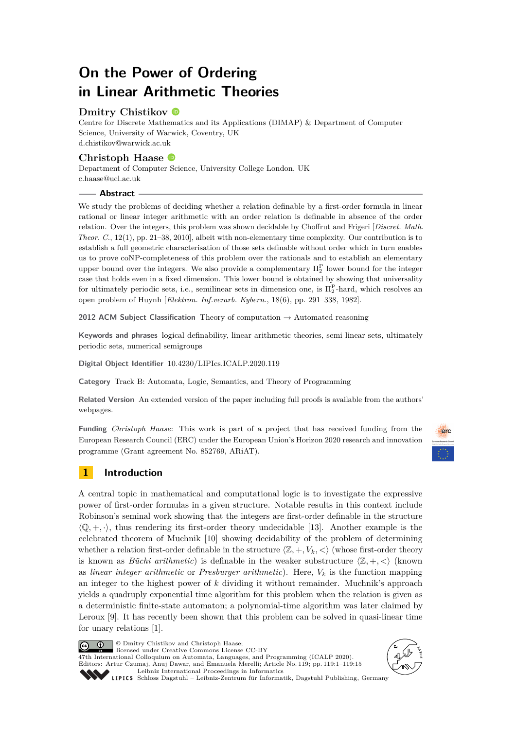# **On the Power of Ordering in Linear Arithmetic Theories**

# **Dmitry Chistikov**

Centre for Discrete Mathematics and its Applications (DIMAP) & Department of Computer Science, University of Warwick, Coventry, UK [d.chistikov@warwick.ac.uk](mailto:d.chistikov@warwick.ac.uk)

# **Christoph Haase**

Department of Computer Science, University College London, UK [c.haase@ucl.ac.uk](mailto:c.haase@ucl.ac.uk)

## **Abstract**

We study the problems of deciding whether a relation definable by a first-order formula in linear rational or linear integer arithmetic with an order relation is definable in absence of the order relation. Over the integers, this problem was shown decidable by Choffrut and Frigeri [*Discret. Math. Theor. C.*, 12(1), pp. 21–38, 2010], albeit with non-elementary time complexity. Our contribution is to establish a full geometric characterisation of those sets definable without order which in turn enables us to prove coNP-completeness of this problem over the rationals and to establish an elementary upper bound over the integers. We also provide a complementary  $\Pi_2^{\text{P}}$  lower bound for the integer case that holds even in a fixed dimension. This lower bound is obtained by showing that universality for ultimately periodic sets, i.e., semilinear sets in dimension one, is  $\Pi_2^{\text{P}}$ -hard, which resolves an open problem of Huynh [*Elektron. Inf.verarb. Kybern.*, 18(6), pp. 291–338, 1982].

**2012 ACM Subject Classification** Theory of computation → Automated reasoning

**Keywords and phrases** logical definability, linear arithmetic theories, semi linear sets, ultimately periodic sets, numerical semigroups

**Digital Object Identifier** [10.4230/LIPIcs.ICALP.2020.119](https://doi.org/10.4230/LIPIcs.ICALP.2020.119)

**Category** Track B: Automata, Logic, Semantics, and Theory of Programming

**Related Version** An extended version of the paper including full proofs is available from the authors' webpages.

**Funding** *Christoph Haase*: This work is part of a project that has received funding from the European Research Council (ERC) under the European Union's Horizon 2020 research and innovation programme (Grant agreement No. 852769, ARiAT).



# **1 Introduction**

A central topic in mathematical and computational logic is to investigate the expressive power of first-order formulas in a given structure. Notable results in this context include Robinson's seminal work showing that the integers are first-order definable in the structure  $\langle \mathbb{Q}, +, \cdot \rangle$ , thus rendering its first-order theory undecidable [\[13\]](#page-14-0). Another example is the celebrated theorem of Muchnik [\[10\]](#page-14-1) showing decidability of the problem of determining whether a relation first-order definable in the structure  $\langle \mathbb{Z}, +, V_k, \langle \rangle$  (whose first-order theory is known as *Büchi arithmetic*) is definable in the weaker substructure  $\langle \mathbb{Z}, +, \langle \rangle$  (known as *linear integer arithmetic* or *Presburger arithmetic*). Here, *V<sup>k</sup>* is the function mapping an integer to the highest power of *k* dividing it without remainder. Muchnik's approach yields a quadruply exponential time algorithm for this problem when the relation is given as a deterministic finite-state automaton; a polynomial-time algorithm was later claimed by Leroux [\[9\]](#page-14-2). It has recently been shown that this problem can be solved in quasi-linear time for unary relations [\[1\]](#page-13-0).



© Dmitry Chistikov and Christoph Haase; licensed under Creative Commons License CC-BY

47th International Colloquium on Automata, Languages, and Programming (ICALP 2020). Editors: Artur Czumaj, Anuj Dawar, and Emanuela Merelli; Article No. 119; pp. 119:1–119[:15](#page-14-3) [Leibniz International Proceedings in Informatics](https://www.dagstuhl.de/lipics/)



SCHLOSS Dagstuhl – Leibniz-Zentrum für Informatik, Dagstuhl Publishing, Germany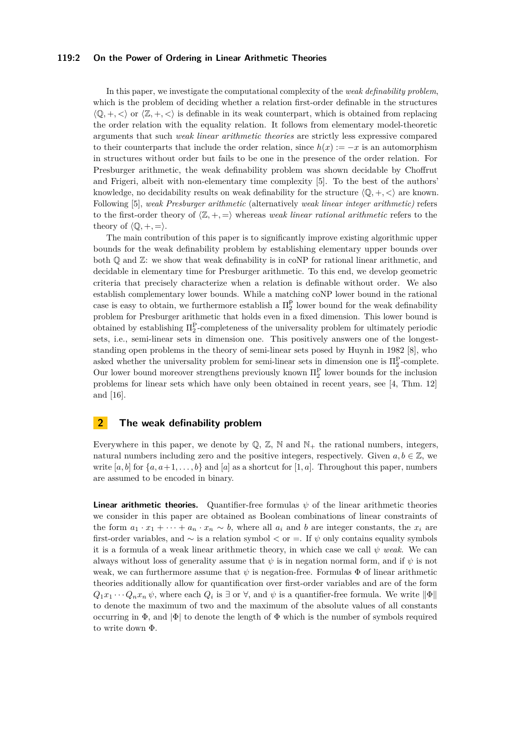#### **119:2 On the Power of Ordering in Linear Arithmetic Theories**

In this paper, we investigate the computational complexity of the *weak definability problem*, which is the problem of deciding whether a relation first-order definable in the structures  $\langle \mathbb{Q}, +, \langle \rangle$  or  $\langle \mathbb{Z}, +, \langle \rangle$  is definable in its weak counterpart, which is obtained from replacing the order relation with the equality relation. It follows from elementary model-theoretic arguments that such *weak linear arithmetic theories* are strictly less expressive compared to their counterparts that include the order relation, since  $h(x) := -x$  is an automorphism in structures without order but fails to be one in the presence of the order relation. For Presburger arithmetic, the weak definability problem was shown decidable by Choffrut and Frigeri, albeit with non-elementary time complexity [\[5\]](#page-14-4). To the best of the authors' knowledge, no decidability results on weak definability for the structure  $\langle \mathbb{Q}, +, \langle \rangle$  are known. Following [\[5\]](#page-14-4), *weak Presburger arithmetic* (alternatively *weak linear integer arithmetic)* refers to the first-order theory of  $\langle \mathbb{Z}, +, = \rangle$  whereas *weak linear rational arithmetic* refers to the theory of  $\langle \mathbb{Q}, +, = \rangle$ .

The main contribution of this paper is to significantly improve existing algorithmic upper bounds for the weak definability problem by establishing elementary upper bounds over both  $\mathbb Q$  and  $\mathbb Z$ : we show that weak definability is in coNP for rational linear arithmetic, and decidable in elementary time for Presburger arithmetic. To this end, we develop geometric criteria that precisely characterize when a relation is definable without order. We also establish complementary lower bounds. While a matching coNP lower bound in the rational case is easy to obtain, we furthermore establish a  $\Pi_2^{\mathsf{P}}$  lower bound for the weak definability problem for Presburger arithmetic that holds even in a fixed dimension. This lower bound is obtained by establishing  $\Pi_2^{\text{P}}$ -completeness of the universality problem for ultimately periodic sets, i.e., semi-linear sets in dimension one. This positively answers one of the longeststanding open problems in the theory of semi-linear sets posed by Huynh in 1982 [\[8\]](#page-14-5), who asked whether the universality problem for semi-linear sets in dimension one is  $\Pi_2^{\text{P}}$ -complete. Our lower bound moreover strengthens previously known  $\Pi_2^{\text{P}}$  lower bounds for the inclusion problems for linear sets which have only been obtained in recent years, see [\[4,](#page-14-6) Thm. 12] and [\[16\]](#page-14-7).

# **2 The weak definability problem**

Everywhere in this paper, we denote by  $\mathbb{Q}, \mathbb{Z}, \mathbb{N}$  and  $\mathbb{N}_+$  the rational numbers, integers, natural numbers including zero and the positive integers, respectively. Given  $a, b \in \mathbb{Z}$ , we write  $[a, b]$  for  $\{a, a+1, \ldots, b\}$  and  $[a]$  as a shortcut for  $[1, a]$ . Throughout this paper, numbers are assumed to be encoded in binary.

**Linear arithmetic theories.** Quantifier-free formulas  $\psi$  of the linear arithmetic theories we consider in this paper are obtained as Boolean combinations of linear constraints of the form  $a_1 \cdot x_1 + \cdots + a_n \cdot x_n \sim b$ , where all  $a_i$  and b are integer constants, the  $x_i$  are first-order variables, and ∼ is a relation symbol *<* or =. If *ψ* only contains equality symbols it is a formula of a weak linear arithmetic theory, in which case we call  $\psi$  weak. We can always without loss of generality assume that  $\psi$  is in negation normal form, and if  $\psi$  is not weak, we can furthermore assume that  $\psi$  is negation-free. Formulas  $\Phi$  of linear arithmetic theories additionally allow for quantification over first-order variables and are of the form  $Q_1x_1 \cdots Q_nx_n \psi$ , where each  $Q_i$  is  $\exists$  or  $\forall$ , and  $\psi$  is a quantifier-free formula. We write  $\|\Phi\|$ to denote the maximum of two and the maximum of the absolute values of all constants occurring in  $\Phi$ , and  $|\Phi|$  to denote the length of  $\Phi$  which is the number of symbols required to write down Φ.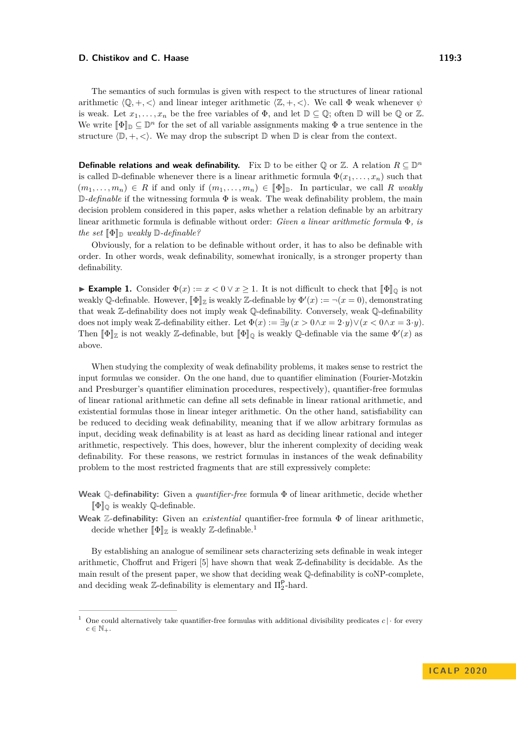The semantics of such formulas is given with respect to the structures of linear rational arithmetic  $\langle \mathbb{Q}, +, \langle \rangle$  and linear integer arithmetic  $\langle \mathbb{Z}, +, \langle \rangle$ . We call  $\Phi$  weak whenever  $\psi$ is weak. Let  $x_1, \ldots, x_n$  be the free variables of  $\Phi$ , and let  $\mathbb{D} \subset \mathbb{Q}$ ; often  $\mathbb{D}$  will be  $\mathbb{Q}$  or  $\mathbb{Z}$ . We write  $[\![\Phi]\!]_D \subseteq \mathbb{D}^n$  for the set of all variable assignments making  $\Phi$  a true sentence in the set structure  $\langle \mathbb{D}, +, \langle \cdot \rangle$ . We may drop the subscript  $\mathbb{D}$  when  $\mathbb{D}$  is clear from the context.

**Definable relations and weak definability.** Fix  $\mathbb{D}$  to be either Q or Z. A relation  $R \subseteq \mathbb{D}^n$ is called D-definable whenever there is a linear arithmetic formula  $\Phi(x_1, \ldots, x_n)$  such that  $(m_1, \ldots, m_n) \in R$  if and only if  $(m_1, \ldots, m_n) \in [\![\Phi]\!]$ . In particular, we call R weakly D*-definable* if the witnessing formula Φ is weak. The weak definability problem, the main decision problem considered in this paper, asks whether a relation definable by an arbitrary linear arithmetic formula is definable without order: *Given a linear arithmetic formula* Φ*, is the set*  $\Phi_{\mathbb{R}}$  *weakly*  $\mathbb{D}$ *-definable?* 

Obviously, for a relation to be definable without order, it has to also be definable with order. In other words, weak definability, somewhat ironically, is a stronger property than definability.

**Example 1.** Consider  $\Phi(x) := x < 0 \vee x \ge 1$ . It is not difficult to check that  $[\![\Phi]\!]_0$  is not weakly Q-definable. However,  $[\![\Phi]\!]_Z$  is weakly Z-definable by  $\Phi'(x) := \neg(x = 0)$ , demonstrating<br>that weak  $\mathbb{Z}$  definability dasa not imply weak  $\mathbb{Q}$  definability. Convergely weak  $\mathbb{Q}$  definability that weak Z-definability does not imply weak Q-definability. Conversely, weak Q-definability does not imply weak Z-definability either. Let  $\Phi(x) := \exists y (x > 0 \land x = 2 \cdot y) \lor (x < 0 \land x = 3 \cdot y)$ . Then  $[\![\Phi]\!]_{\mathbb{Z}}$  is not weakly Z-definable, but  $[\![\Phi]\!]_{\mathbb{Q}}$  is weakly Q-definable via the same  $\Phi'(x)$  as above.

When studying the complexity of weak definability problems, it makes sense to restrict the input formulas we consider. On the one hand, due to quantifier elimination (Fourier-Motzkin and Presburger's quantifier elimination procedures, respectively), quantifier-free formulas of linear rational arithmetic can define all sets definable in linear rational arithmetic, and existential formulas those in linear integer arithmetic. On the other hand, satisfiability can be reduced to deciding weak definability, meaning that if we allow arbitrary formulas as input, deciding weak definability is at least as hard as deciding linear rational and integer arithmetic, respectively. This does, however, blur the inherent complexity of deciding weak definability. For these reasons, we restrict formulas in instances of the weak definability problem to the most restricted fragments that are still expressively complete:

- **Weak** Q**-definability:** Given a *quantifier-free* formula Φ of linear arithmetic, decide whether  $\llbracket \Phi \rrbracket$ <sup>o</sup> is weakly Q-definable.
- **Weak** Z**-definability:** Given an *existential* quantifier-free formula Φ of linear arithmetic, decide whether  $\llbracket \Phi \rrbracket_{\mathbb{Z}}$  is weakly  $\mathbb{Z}\text{-definable}.^1$  $\mathbb{Z}\text{-definable}.^1$

By establishing an analogue of semilinear sets characterizing sets definable in weak integer arithmetic, Choffrut and Frigeri [\[5\]](#page-14-4) have shown that weak Z-definability is decidable. As the main result of the present paper, we show that deciding weak Q-definability is coNP-complete, and deciding weak  $\mathbb{Z}$ -definability is elementary and  $\Pi^{\mathsf{P}}_2$ -hard.

<span id="page-2-0"></span><sup>&</sup>lt;sup>1</sup> One could alternatively take quantifier-free formulas with additional divisibility predicates  $c \cdot | \cdot$  for every  $c \in \mathbb{N}_+$ .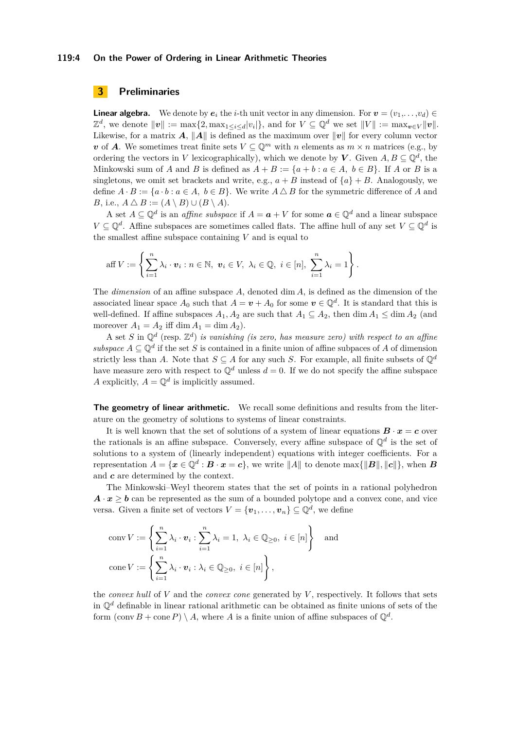#### **119:4 On the Power of Ordering in Linear Arithmetic Theories**

# **3 Preliminaries**

**Linear algebra.** We denote by  $e_i$  the *i*-th unit vector in any dimension. For  $v = (v_1, \ldots, v_d) \in$  $\mathbb{Z}^d$ , we denote  $\|\mathbf{v}\| := \max\{2, \max_{1 \le i \le d} |v_i|\}$ , and for  $V \subseteq \mathbb{Q}^d$  we set  $\|V\| := \max_{\mathbf{v} \in V} \|\mathbf{v}\|$ . Likewise, for a matrix  $A$ ,  $||A||$  is defined as the maximum over  $||v||$  for every column vector *v* of *A*. We sometimes treat finite sets  $V \subseteq \mathbb{Q}^m$  with *n* elements as  $m \times n$  matrices (e.g., by ordering the vectors in *V* lexicographically), which we denote by *V*. Given  $A, B \subseteq \mathbb{Q}^d$ , the Minkowski sum of *A* and *B* is defined as  $A + B := \{a + b : a \in A, b \in B\}$ . If *A* or *B* is a singletons, we omit set brackets and write, e.g.,  $a + B$  instead of  $\{a\} + B$ . Analogously, we define  $A \cdot B := \{a \cdot b : a \in A, b \in B\}$ . We write  $A \triangle B$  for the symmetric difference of A and *B*, i.e.,  $A \triangle B := (A \setminus B) \cup (B \setminus A)$ .

A set  $A \subseteq \mathbb{Q}^d$  is an *affine subspace* if  $A = a + V$  for some  $a \in \mathbb{Q}^d$  and a linear subspace *V* ⊆  $\mathbb{Q}^d$ . Affine subspaces are sometimes called flats. The affine hull of any set *V* ⊆  $\mathbb{Q}^d$  is the smallest affine subspace containing *V* and is equal to

aff 
$$
V := \left\{ \sum_{i=1}^{n} \lambda_i \cdot \mathbf{v}_i : n \in \mathbb{N}, \mathbf{v}_i \in V, \lambda_i \in \mathbb{Q}, i \in [n], \sum_{i=1}^{n} \lambda_i = 1 \right\}.
$$

The *dimension* of an affine subspace *A*, denoted dim *A*, is defined as the dimension of the associated linear space  $A_0$  such that  $A = v + A_0$  for some  $v \in \mathbb{Q}^d$ . It is standard that this is well-defined. If affine subspaces  $A_1, A_2$  are such that  $A_1 \subseteq A_2$ , then dim  $A_1 \le \dim A_2$  (and moreover  $A_1 = A_2$  iff dim  $A_1 = \dim A_2$ .

A set *S* in  $\mathbb{Q}^d$  (resp.  $\mathbb{Z}^d$ ) *is vanishing (is zero, has measure zero) with respect to an affine subspace*  $A \subseteq \mathbb{Q}^d$  if the set *S* is contained in a finite union of affine subpaces of *A* of dimension strictly less than *A*. Note that  $S \subseteq A$  for any such *S*. For example, all finite subsets of  $\mathbb{Q}^d$ have measure zero with respect to  $\mathbb{Q}^d$  unless  $d = 0$ . If we do not specify the affine subspace *A* explicitly,  $A = \mathbb{Q}^d$  is implicitly assumed.

**The geometry of linear arithmetic.** We recall some definitions and results from the literature on the geometry of solutions to systems of linear constraints.

It is well known that the set of solutions of a system of linear equations  $B \cdot x = c$  over the rationals is an affine subspace. Conversely, every affine subspace of  $\mathbb{Q}^d$  is the set of solutions to a system of (linearly independent) equations with integer coefficients. For a representation  $A = \{x \in \mathbb{Q}^d : B \cdot x = c\}$ , we write  $||A||$  to denote max $\{||B||, ||c||\}$ , when *B* and *c* are determined by the context.

The Minkowski–Weyl theorem states that the set of points in a rational polyhedron  $\mathbf{A} \cdot \mathbf{x} > \mathbf{b}$  can be represented as the sum of a bounded polytope and a convex cone, and vice versa. Given a finite set of vectors  $V = {\mathbf{v}_1, \ldots, \mathbf{v}_n} \subseteq \mathbb{Q}^d$ , we define

$$
\operatorname{conv} V := \left\{ \sum_{i=1}^{n} \lambda_i \cdot \mathbf{v}_i : \sum_{i=1}^{n} \lambda_i = 1, \ \lambda_i \in \mathbb{Q}_{\geq 0}, \ i \in [n] \right\} \text{ and}
$$

$$
\operatorname{cone} V := \left\{ \sum_{i=1}^{n} \lambda_i \cdot \mathbf{v}_i : \lambda_i \in \mathbb{Q}_{\geq 0}, \ i \in [n] \right\},
$$

the *convex hull* of *V* and the *convex cone* generated by *V* , respectively. It follows that sets in  $\mathbb{O}^d$  definable in linear rational arithmetic can be obtained as finite unions of sets of the form  $(\text{conv } B + \text{cone } P) \setminus A$ , where *A* is a finite union of affine subspaces of  $\mathbb{Q}^d$ .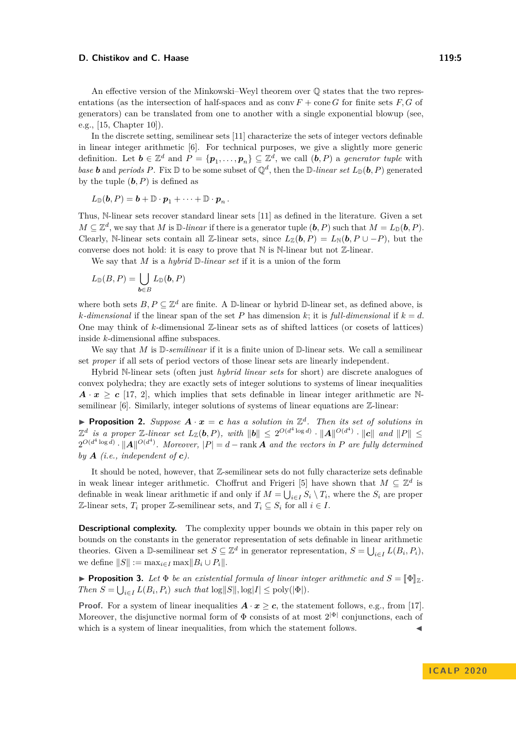An effective version of the Minkowski–Weyl theorem over Q states that the two representations (as the intersection of half-spaces and as conv  $F +$  cone  $G$  for finite sets  $F, G$  of generators) can be translated from one to another with a single exponential blowup (see, e.g., [\[15,](#page-14-8) Chapter 10]).

In the discrete setting, semilinear sets [\[11\]](#page-14-9) characterize the sets of integer vectors definable in linear integer arithmetic [\[6\]](#page-14-10). For technical purposes, we give a slightly more generic definition. Let  $\mathbf{b} \in \mathbb{Z}^d$  and  $P = \{p_1, \ldots, p_n\} \subseteq \mathbb{Z}^d$ , we call  $(\mathbf{b}, P)$  a *generator tuple* with *base b* and *periods P*. Fix  $\mathbb{D}$  to be some subset of  $\mathbb{Q}^d$ , then the  $\mathbb{D}$ -linear set  $L_{\mathbb{D}}(\mathbf{b}, P)$  generated by the tuple  $(b, P)$  is defined as

$$
L_{\mathbb{D}}(\boldsymbol{b},P)=\boldsymbol{b}+\mathbb{D}\cdot\boldsymbol{p}_1+\cdots+\mathbb{D}\cdot\boldsymbol{p}_n.
$$

Thus, N-linear sets recover standard linear sets [\[11\]](#page-14-9) as defined in the literature. Given a set  $M \subseteq \mathbb{Z}^d$ , we say that *M* is  $\mathbb{D}$ *-linear* if there is a generator tuple  $(\boldsymbol{b}, P)$  such that  $M = L_{\mathbb{D}}(\boldsymbol{b}, P)$ . Clearly, N-linear sets contain all Z-linear sets, since  $L_{\mathbb{Z}}(\mathbf{b}, P) = L_{\mathbb{N}}(\mathbf{b}, P \cup -P)$ , but the converse does not hold: it is easy to prove that  $\mathbb N$  is  $\mathbb N$ -linear but not  $\mathbb Z$ -linear.

We say that *M* is a *hybrid* D*-linear set* if it is a union of the form

$$
L_{\mathbb D}(B,P)=\bigcup_{{\boldsymbol b}\in B}L_{\mathbb D}({\boldsymbol b},P)
$$

where both sets  $B, P \subseteq \mathbb{Z}^d$  are finite. A D-linear or hybrid D-linear set, as defined above, is *k*-dimensional if the linear span of the set *P* has dimension *k*; it is *full-dimensional* if  $k = d$ . One may think of *k*-dimensional Z-linear sets as of shifted lattices (or cosets of lattices) inside *k*-dimensional affine subspaces.

We say that *M* is D*-semilinear* if it is a finite union of D-linear sets. We call a semilinear set *proper* if all sets of period vectors of those linear sets are linearly independent.

Hybrid N-linear sets (often just *hybrid linear sets* for short) are discrete analogues of convex polyhedra; they are exactly sets of integer solutions to systems of linear inequalities  $A \cdot x \geq c$  [\[17,](#page-14-11) [2\]](#page-13-1), which implies that sets definable in linear integer arithmetic are Nsemilinear  $[6]$ . Similarly, integer solutions of systems of linear equations are  $\mathbb{Z}$ -linear:

<span id="page-4-0"></span>**Proposition 2.** Suppose  $A \cdot x = c$  has a solution in  $\mathbb{Z}^d$ . Then its set of solutions in  $\mathbb{Z}^d$  is a proper  $\mathbb{Z}$ -linear set  $L_{\mathbb{Z}}(\boldsymbol{b}, P)$ , with  $\|\boldsymbol{b}\| \leq 2^{O(d^4 \log d)} \cdot \|\boldsymbol{A}\|^{O(d^4)} \cdot \|\boldsymbol{c}\|$  and  $\|P\| \leq$  $2^{O(d^4 \log d)} \cdot ||A||^{O(d^4)}$ . Moreover,  $|P| = d - \text{rank } A$  and the vectors in P are fully determined *by*  $\bf{A}$  *(i.e., independent of c).* 

It should be noted, however, that Z-semilinear sets do not fully characterize sets definable in weak linear integer arithmetic. Choffrut and Frigeri [\[5\]](#page-14-4) have shown that  $M \subseteq \mathbb{Z}^d$  is definable in weak linear arithmetic if and only if  $M = \bigcup_{i \in I} S_i \setminus T_i$ , where the  $S_i$  are proper Z-linear sets,  $T_i$  proper Z-semilinear sets, and  $T_i \subseteq S_i$  for all  $i \in I$ .

**Descriptional complexity.** The complexity upper bounds we obtain in this paper rely on bounds on the constants in the generator representation of sets definable in linear arithmetic theories. Given a D-semilinear set  $S \subseteq \mathbb{Z}^d$  in generator representation,  $S = \bigcup_{i \in I} L(B_i, P_i)$ , we define  $||S|| := \max_{i \in I} \max ||B_i \cup P_i||$ .

<span id="page-4-1"></span>**Proposition 3.** Let  $\Phi$  be an existential formula of linear integer arithmetic and  $S = \llbracket \Phi \rrbracket_{\mathbb{Z}}$ . *Then*  $S = \bigcup_{i \in I} L(B_i, P_i)$  *such that*  $\log ||S||, \log |I| \le \text{poly}(|\Phi|)$ *.* 

**Proof.** For a system of linear inequalities  $\mathbf{A} \cdot \mathbf{x} > \mathbf{c}$ , the statement follows, e.g., from [\[17\]](#page-14-11). Moreover, the disjunctive normal form of  $\Phi$  consists of at most  $2^{|\Phi|}$  conjunctions, each of which is a system of linear inequalities, from which the statement follows.

**I C A L P 2 0 2 0**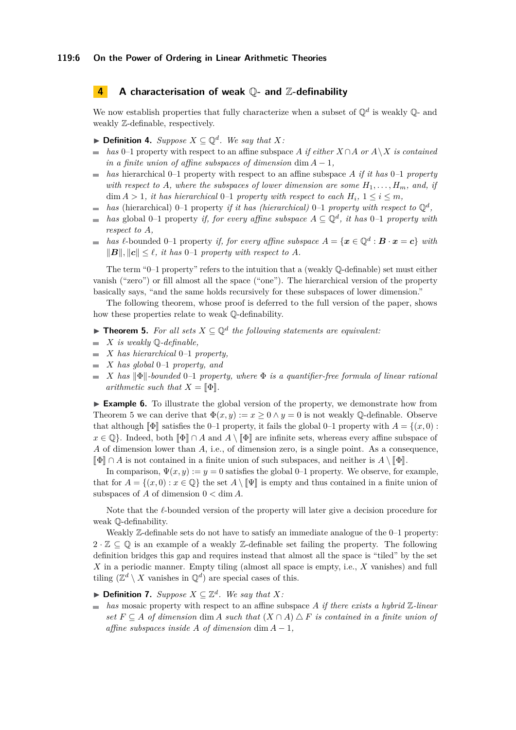## **4 A characterisation of weak** Q**- and** Z**-definability**

We now establish properties that fully characterize when a subset of  $\mathbb{Q}^d$  is weakly  $\mathbb{Q}$ - and weakly Z-definable, respectively.

- ▶ **Definition 4.** *Suppose*  $X \subseteq \mathbb{Q}^d$ *. We say that*  $X$ *:*
- *has* 0–1 property with respect to an affine subspace *A if either*  $X \cap A$  *or*  $A \setminus X$  *is contained*  $\equiv$ *in a finite union of affine subspaces of dimension* dim  $A - 1$ ,
- *has* hierarchical 0–1 property with respect to an affine subspace *A if it has* 0*–*1 *property* L. *with respect to*  $A$ *, where the subspaces of lower dimension are some*  $H_1, \ldots, H_m$ *, and, if*  $\dim A > 1$ , *it has hierarchical* 0–1 *property with respect to each*  $H_i$ ,  $1 \leq i \leq m$ ,
- *has* (hierarchical) 0–1 property *if it has (hierarchical)* 0–1 *property with respect to*  $\mathbb{Q}^d$ ,  $\mathbf{r}$
- *has* global 0–1 property *if, for every affine subspace*  $A \subseteq \mathbb{Q}^d$ *, it has* 0–1 *property with*  $\overline{\phantom{a}}$ *respect to A,*
- *has*  $\ell$ -bounded 0–1 property *if, for every affine subspace*  $A = \{x \in \mathbb{Q}^d : B \cdot x = c\}$  *with*  $||B||, ||c|| < l$ , *it has* 0–1 *property with respect to A.*

The term "0–1 property" refers to the intuition that a (weakly Q-definable) set must either vanish ("zero") or fill almost all the space ("one"). The hierarchical version of the property basically says, "and the same holds recursively for these subspaces of lower dimension."

The following theorem, whose proof is deferred to the full version of the paper, shows how these properties relate to weak Q-definability.

<span id="page-5-0"></span>**► Theorem 5.** For all sets  $X \subseteq \mathbb{Q}^d$  the following statements are equivalent:

- $\blacksquare$  *X is weakly*  $\mathbb{Q}$ -definable,
- *X has hierarchical* 0*–*1 *property,*
- *X has global* 0*–*1 *property, and*  $\blacksquare$
- $\hat{X}$  *has*  $\|\Phi\|$ -bounded 0-1 property, where  $\Phi$  *is a quantifier-free formula of linear rational*  $\bar{\phantom{a}}$ *arithmetic such that*  $X = \llbracket \Phi \rrbracket$ .

► **Example 6.** To illustrate the global version of the property, we demonstrate how from Theorem [5](#page-5-0) we can derive that  $\Phi(x, y) := x \geq 0 \wedge y = 0$  is not weakly Q-definable. Observe that although  $\llbracket \Phi \rrbracket$  satisfies the 0–1 property, it fails the global 0–1 property with  $A = \{(x, 0) :$  $x \in \mathbb{Q}$ . Indeed, both  $\llbracket \Phi \rrbracket \cap A$  and  $A \setminus \llbracket \Phi \rrbracket$  are infinite sets, whereas every affine subspace of *A* of dimension lower than *A*, i.e., of dimension zero, is a single point. As a consequence,  $\llbracket \Phi \rrbracket \cap A$  is not contained in a finite union of such subspaces, and neither is  $A \setminus \llbracket \Phi \rrbracket$ .

In comparison,  $\Psi(x, y) := y = 0$  satisfies the global 0–1 property. We observe, for example, that for  $A = \{(x, 0) : x \in \mathbb{Q}\}\)$  the set  $A \setminus \llbracket \Psi \rrbracket$  is empty and thus contained in a finite union of subspaces of  $A$  of dimension  $0 < \dim A$ .

Note that the  $\ell$ -bounded version of the property will later give a decision procedure for weak Q-definability.

Weakly  $\mathbb Z$ -definable sets do not have to satisfy an immediate analogue of the 0–1 property:  $2 \cdot \mathbb{Z} \subseteq \mathbb{Q}$  is an example of a weakly Z-definable set failing the property. The following definition bridges this gap and requires instead that almost all the space is "tiled" by the set *X* in a periodic manner. Empty tiling (almost all space is empty, i.e., *X* vanishes) and full tiling  $(\mathbb{Z}^d \setminus X$  vanishes in  $\mathbb{Q}^d$ ) are special cases of this.

▶ **Definition 7.** *Suppose*  $X \subseteq \mathbb{Z}^d$ *. We say that*  $X$ *:* 

*has* mosaic property with respect to an affine subspace *A if there exists a hybrid* Z*-linear set*  $F \subseteq A$  *of dimension* dim *A such that*  $(X \cap A) \triangle F$  *is contained in a finite union of affine subspaces inside A of dimension* dim  $A - 1$ ,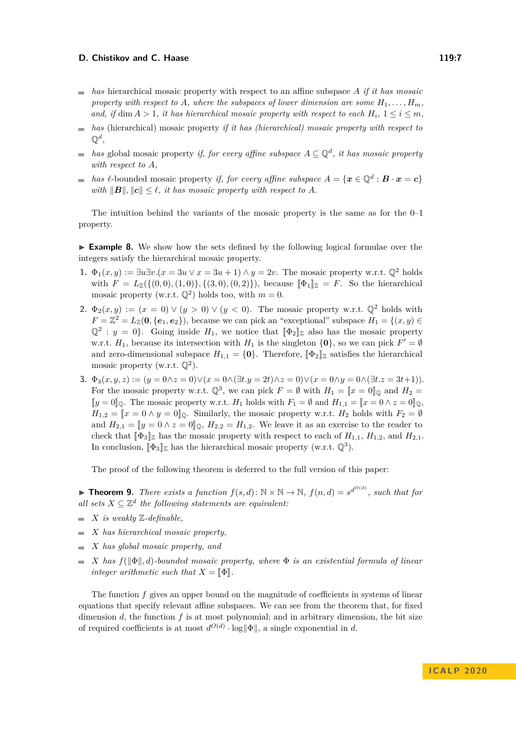- *has* hierarchical mosaic property with respect to an affine subspace *A if it has mosaic* property with respect to A, where the subspaces of lower dimension are some  $H_1, \ldots, H_m$ *and, if* dim  $A > 1$ *, it has hierarchical mosaic property with respect to each*  $H_i$ ,  $1 \leq i \leq m$ *,*
- *has* (hierarchical) mosaic property *if it has (hierarchical) mosaic property with respect to*  $\mathbb{Q}^d,$
- *has* global mosaic property *if, for every affine subspace*  $A \subseteq \mathbb{Q}^d$ , *it has mosaic property with respect to A,*
- *has*  $\ell$ -bounded mosaic property *if, for every affine subspace*  $A = \{x \in \mathbb{Q}^d : B \cdot x = c\}$ *with*  $||B||$ ,  $||c|| \leq \ell$ , *it has mosaic property with respect to A.*

The intuition behind the variants of the mosaic property is the same as for the  $0-1$ property.

► **Example 8.** We show how the sets defined by the following logical formulae over the integers satisfy the hierarchical mosaic property.

- **1.**  $\Phi_1(x, y) := \exists u \exists v \cdot (x = 3u \vee x = 3u + 1) \wedge u = 2v$ . The mosaic property w.r.t.  $\mathbb{O}^2$  holds with  $F = L_{\mathbb{Z}}(\{(0,0), (1,0)\}, \{(3,0), (0,2)\})$ , because  $[\![\Phi_1]\!]_{\mathbb{Z}} = F$ . So the hierarchical mosaic property (w.r.t.  $\mathbb{Q}^2$ ) holds too, with  $m = 0$ .
- **2.**  $\Phi_2(x,y) := (x = 0) \vee (y > 0) \vee (y < 0)$ . The mosaic property w.r.t.  $\mathbb{Q}^2$  holds with  $F = \mathbb{Z}^2 = L_{\mathbb{Z}}(\mathbf{0}, {\{\mathbf{e}_1, \mathbf{e}_2\}})$ , because we can pick an "exceptional" subspace  $H_1 = \{(x, y) \in$  $\mathbb{Q}^2$ : *y* = 0}. Going inside *H*<sub>1</sub>, we notice that  $[\![\Phi_2]\!]_Z$  also has the mosaic property w.r.t.  $H_1$ , because its intersection with  $H_1$  is the singleton  $\{0\}$ , so we can pick  $F' = \emptyset$ and zero-dimensional subspace  $H_{1,1} = \{0\}$ . Therefore,  $[\![\Phi_2]\!]$  g satisfies the hierarchical mosaic property (w.r.t.  $\mathbb{Q}^2$ ).
- **3.**  $\Phi_3(x, y, z) := (y = 0 \land z = 0) \lor (x = 0 \land (\exists t \cdot y = 2t) \land z = 0) \lor (x = 0 \land y = 0 \land (\exists t \cdot z = 3t+1)).$ For the mosaic property w.r.t.  $\mathbb{Q}^3$ , we can pick  $F = \emptyset$  with  $H_1 = \llbracket x = 0 \rrbracket_{\mathbb{Q}}$  and  $H_2 = \llbracket x = 0 \rrbracket_{\mathbb{Q}}$  $[$ *y* = 0 $]$ <sub>Q</sub>. The mosaic property w.r.t. *H*<sub>1</sub> holds with *F*<sub>1</sub> = ∅ and *H*<sub>1,1</sub> =  $[$ *x* = 0 ∧ *z* = 0 $]$ <sub>Q</sub>,  $H_{1,2} = \llbracket x = 0 \land y = 0 \rrbracket$  *Q*. Similarly, the mosaic property w.r.t. *H*<sub>2</sub> holds with  $F_2 = \emptyset$ and  $H_{2,1} = [y = 0 \land z = 0]_{\mathbb{Q}}, H_{2,2} = H_{1,2}.$  We leave it as an exercise to the reader to check that  $[\![\Phi_3]\!]_Z$  has the mosaic property with respect to each of  $H_{1,1}$ ,  $H_{1,2}$ , and  $H_{2,1}$ . In conclusion,  $[\![\Phi_3]\!]_{\mathbb{Z}}$  has the hierarchical mosaic property (w.r.t.  $(\mathbb{Q}^3)$ .

The proof of the following theorem is deferred to the full version of this paper:

<span id="page-6-0"></span>**Find 1.** There exists a function  $f(s, d)$ :  $\mathbb{N} \times \mathbb{N} \to \mathbb{N}$ ,  $f(n, d) = s^{d^{O(d)}}$ , such that for all sets  $X \subseteq \mathbb{Z}^d$  the following statements are equivalent:

- $\blacksquare$  *X is weakly*  $\mathbb{Z}\text{-}definable$ .
- *X has hierarchical mosaic property,*
- *X has global mosaic property, and*
- $\blacksquare$  *X* has  $f(||\Phi||, d)$ -bounded mosaic property, where  $\Phi$  is an existential formula of linear *integer arithmetic such that*  $X = \llbracket \Phi \rrbracket$ .

The function *f* gives an upper bound on the magnitude of coefficients in systems of linear equations that specify relevant affine subspaces. We can see from the theorem that, for fixed dimension *d*, the function *f* is at most polynomial; and in arbitrary dimension, the bit size of required coefficients is at most  $d^{O(d)} \cdot \log \|\Phi\|$ , a single exponential in *d*.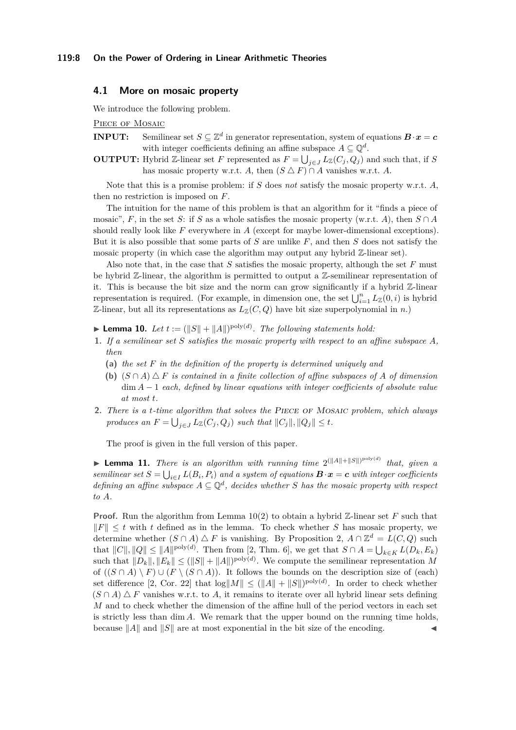# **4.1 More on mosaic property**

We introduce the following problem.

PIECE OF MOSAIC

- **INPUT:** Semilinear set  $S \subseteq \mathbb{Z}^d$  in generator representation, system of equations  $B \cdot x = c$ with integer coefficients defining an affine subspace  $A \subseteq \mathbb{Q}^d$ .
- **OUTPUT:** Hybrid Z-linear set *F* represented as  $F = \bigcup_{j \in J} L_{\mathbb{Z}}(C_j, Q_j)$  and such that, if *S* has mosaic property w.r.t. *A*, then  $(S \triangle F) \cap A$  vanishes w.r.t. *A*.

Note that this is a promise problem: if *S* does *not* satisfy the mosaic property w.r.t. *A*, then no restriction is imposed on *F*.

The intuition for the name of this problem is that an algorithm for it "finds a piece of mosaic", *F*, in the set *S*: if *S* as a whole satisfies the mosaic property (w.r.t. *A*), then  $S \cap A$ should really look like *F* everywhere in *A* (except for maybe lower-dimensional exceptions). But it is also possible that some parts of *S* are unlike *F*, and then *S* does not satisfy the mosaic property (in which case the algorithm may output any hybrid Z-linear set).

Also note that, in the case that *S* satisfies the mosaic property, although the set *F* must be hybrid Z-linear, the algorithm is permitted to output a Z-semilinear representation of it. This is because the bit size and the norm can grow significantly if a hybrid  $\mathbb{Z}$ -linear representation is required. (For example, in dimension one, the set  $\bigcup_{i=1}^{n} L_{\mathbb{Z}}(0, i)$  is hybrid Z-linear, but all its representations as  $L_{\mathbb{Z}}(C, Q)$  have bit size superpolynomial in *n*.)

<span id="page-7-0"></span>**Lemma 10.** Let  $t := (||S|| + ||A||)^{\text{poly}(d)}$ . The following statements hold:

- **1.** *If a semilinear set S satisfies the mosaic property with respect to an affine subspace A, then*
	- **(a)** *the set F in the definition of the property is determined uniquely and*
	- **(b)**  $(S \cap A) \triangle F$  *is contained in a finite collection of affine subspaces of A of dimension* dim *A* − 1 *each, defined by linear equations with integer coefficients of absolute value at most t.*
- **2.** *There is a t-time algorithm that solves the* Piece of Mosaic *problem, which always produces an*  $F = \bigcup_{j \in J} L_{\mathbb{Z}}(C_j, Q_j)$  *such that*  $||C_j||, ||Q_j|| \leq t$ *.*

The proof is given in the full version of this paper.

<span id="page-7-1"></span>**Example 11.** There is an algorithm with running time  $2^{(\|A\|+\|S\|)^{\text{poly}(d)}}$  that, given a *semilinear set*  $S = \bigcup_{i \in I} L(B_i, P_i)$  *and a system of equations*  $\mathbf{B} \cdot \mathbf{x} = \mathbf{c}$  *with integer coefficients defining an affine subspace*  $A \subseteq \mathbb{Q}^d$ , decides whether *S* has the mosaic property with respect *to A.*

<span id="page-7-2"></span>**Proof.** Run the algorithm from Lemma [10\(](#page-7-0)2) to obtain a hybrid Z-linear set F such that  $\|F\| \leq t$  with *t* defined as in the lemma. To check whether *S* has mosaic property, we determine whether  $(S \cap A) \triangle F$  is vanishing. By Proposition [2,](#page-4-0)  $A \cap \mathbb{Z}^d = L(C, Q)$  such that  $||C||, ||Q|| \le ||A||^{\text{poly}(d)}$ . Then from [\[2,](#page-13-1) Thm. 6], we get that  $S \cap A = \bigcup_{k \in K} L(D_k, E_k)$ such that  $||D_k||, ||E_k|| \le (||S|| + ||A||)^{\text{poly}(d)}$ . We compute the semilinear representation M of  $((S \cap A) \setminus F) \cup (F \setminus (S \cap A))$ . It follows the bounds on the description size of (each) set difference [\[2,](#page-13-1) Cor. 22] that  $\log|M|| \leq (||A|| + ||S||)^{\text{poly}(d)}$ . In order to check whether  $(S \cap A) \triangle F$  vanishes w.r.t. to A, it remains to iterate over all hybrid linear sets defining *M* and to check whether the dimension of the affine hull of the period vectors in each set is strictly less than dim *A*. We remark that the upper bound on the running time holds, because  $||A||$  and  $||S||$  are at most exponential in the bit size of the encoding.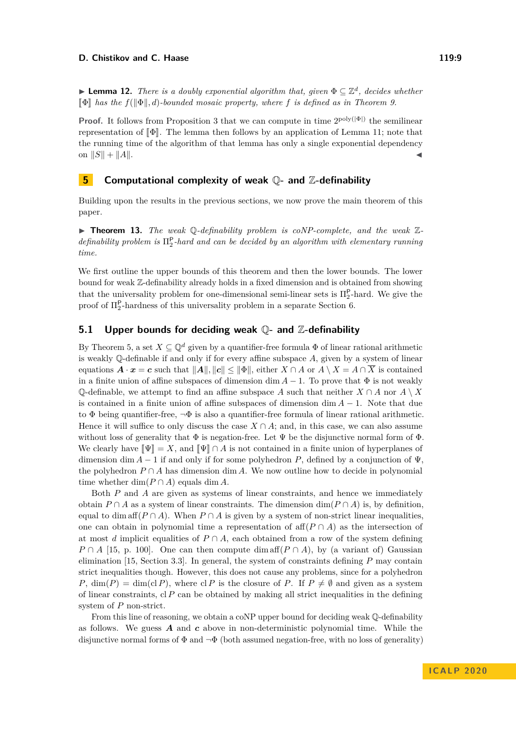**► Lemma 12.** *There is a doubly exponential algorithm that, given*  $\Phi \subseteq \mathbb{Z}^d$ , *decides whether*  $\P\Phi$  has the  $f(\Psi, d)$ -bounded mosaic property, where f is defined as in Theorem [9.](#page-6-0)

**Proof.** It follows from Proposition [3](#page-4-1) that we can compute in time  $2^{poly(|\Phi|)}$  the semilinear representation of  $[\![\Phi]\!]$ . The lemma then follows by an application of Lemma [11;](#page-7-1) note that the running time of the algorithm of that lemma has only a single exponential dependency on  $||S|| + ||A||$ .

# **5 Computational complexity of weak** Q**- and** Z**-definability**

Building upon the results in the previous sections, we now prove the main theorem of this paper.

▶ **Theorem 13.** *The weak* Q-definability problem is coNP-complete, and the weak Z*definability problem is* Π<sup>P</sup> 2 *-hard and can be decided by an algorithm with elementary running time.*

We first outline the upper bounds of this theorem and then the lower bounds. The lower bound for weak Z-definability already holds in a fixed dimension and is obtained from showing that the universality problem for one-dimensional semi-linear sets is  $\Pi_2^{\mathsf{P}}$ -hard. We give the proof of  $\Pi_2^{\mathsf{P}}$ -hardness of this universality problem in a separate Section [6.](#page-9-0)

# **5.1 Upper bounds for deciding weak** Q**- and** Z**-definability**

By Theorem [5,](#page-5-0) a set  $X \subseteq \mathbb{Q}^d$  given by a quantifier-free formula  $\Phi$  of linear rational arithmetic is weakly Q-definable if and only if for every affine subspace *A*, given by a system of linear equations  $\mathbf{A} \cdot \mathbf{x} = \mathbf{c}$  such that  $||\mathbf{A}||, ||\mathbf{c}|| \le ||\Phi||$ , either  $X \cap A$  or  $A \setminus X = A \cap \overline{X}$  is contained in a finite union of affine subspaces of dimension dim  $A-1$ . To prove that  $\Phi$  is not weakly  $\mathbb{Q}$ -definable, we attempt to find an affine subspace *A* such that neither *X* ∩ *A* nor *A* \ *X* is contained in a finite union of affine subspaces of dimension dim *A* − 1. Note that due to  $\Phi$  being quantifier-free,  $\neg \Phi$  is also a quantifier-free formula of linear rational arithmetic. Hence it will suffice to only discuss the case  $X \cap A$ ; and, in this case, we can also assume without loss of generality that  $\Phi$  is negation-free. Let  $\Psi$  be the disjunctive normal form of  $\Phi$ . We clearly have  $\llbracket \Psi \rrbracket = X$ , and  $\llbracket \Psi \rrbracket \cap A$  is not contained in a finite union of hyperplanes of dimension dim  $A - 1$  if and only if for some polyhedron P, defined by a conjunction of  $\Psi$ . the polyhedron  $P \cap A$  has dimension dim *A*. We now outline how to decide in polynomial time whether  $\dim(P \cap A)$  equals  $\dim A$ .

Both *P* and *A* are given as systems of linear constraints, and hence we immediately obtain  $P \cap A$  as a system of linear constraints. The dimension dim( $P \cap A$ ) is, by definition, equal to dim aff $(P \cap A)$ . When  $P \cap A$  is given by a system of non-strict linear inequalities, one can obtain in polynomial time a representation of  $\text{aff}(P \cap A)$  as the intersection of at most *d* implicit equalities of  $P \cap A$ , each obtained from a row of the system defining  $P \cap A$  [\[15,](#page-14-8) p. 100]. One can then compute dim aff $(P \cap A)$ , by (a variant of) Gaussian elimination [\[15,](#page-14-8) Section 3.3]. In general, the system of constraints defining *P* may contain strict inequalities though. However, this does not cause any problems, since for a polyhedron *P*, dim(*P*) = dim(cl *P*), where cl *P* is the closure of *P*. If  $P \neq \emptyset$  and given as a system of linear constraints,  $c \mid P$  can be obtained by making all strict inequalities in the defining system of *P* non-strict.

From this line of reasoning, we obtain a coNP upper bound for deciding weak  $\mathbb Q$ -definability as follows. We guess *A* and *c* above in non-deterministic polynomial time. While the disjunctive normal forms of  $\Phi$  and  $\neg \Phi$  (both assumed negation-free, with no loss of generality)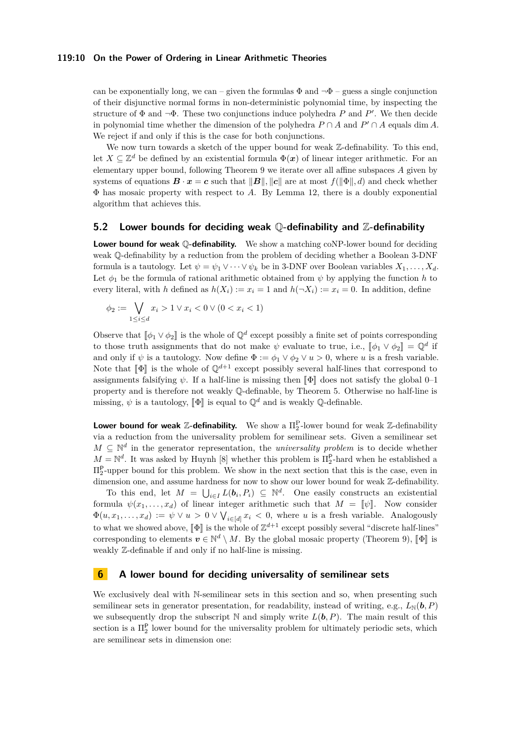#### **119:10 On the Power of Ordering in Linear Arithmetic Theories**

can be exponentially long, we can – given the formulas  $\Phi$  and  $\neg \Phi$  – guess a single conjunction of their disjunctive normal forms in non-deterministic polynomial time, by inspecting the structure of  $\Phi$  and  $\neg \Phi$ . These two conjunctions induce polyhedra *P* and *P'*. We then decide in polynomial time whether the dimension of the polyhedra  $P \cap A$  and  $P' \cap A$  equals dim *A*. We reject if and only if this is the case for both conjunctions.

We now turn towards a sketch of the upper bound for weak  $\mathbb{Z}$ -definability. To this end, let  $X \subseteq \mathbb{Z}^d$  be defined by an existential formula  $\Phi(\boldsymbol{x})$  of linear integer arithmetic. For an elementary upper bound, following Theorem [9](#page-6-0) we iterate over all affine subspaces *A* given by systems of equations  $\mathbf{B} \cdot \mathbf{x} = \mathbf{c}$  such that  $||\mathbf{B}||$ ,  $||\mathbf{c}||$  are at most  $f(||\Phi||, d)$  and check whether Φ has mosaic property with respect to *A*. By Lemma [12,](#page-7-2) there is a doubly exponential algorithm that achieves this.

## **5.2 Lower bounds for deciding weak** Q**-definability and** Z**-definability**

**Lower bound for weak Q-definability.** We show a matching coNP-lower bound for deciding weak Q-definability by a reduction from the problem of deciding whether a Boolean 3-DNF formula is a tautology. Let  $\psi = \psi_1 \vee \cdots \vee \psi_k$  be in 3-DNF over Boolean variables  $X_1, \ldots, X_d$ . Let  $\phi_1$  be the formula of rational arithmetic obtained from  $\psi$  by applying the function *h* to every literal, with *h* defined as  $h(X_i) := x_i = 1$  and  $h(\neg X_i) := x_i = 0$ . In addition, define

$$
\phi_2 := \bigvee_{1 \le i \le d} x_i > 1 \lor x_i < 0 \lor (0 < x_i < 1)
$$

Observe that  $[\![\phi_1 \vee \phi_2]\!]$  is the whole of  $\mathbb{Q}^d$  except possibly a finite set of points corresponding to these turn is  $\mathbb{Z}^d \times \mathbb{Z}^d$ . to those truth assignments that do not make  $\psi$  evaluate to true, i.e.,  $[\![\phi_1 \vee \phi_2]\!] = \mathbb{Q}^d$  if and only if  $\psi$  is a tautology. Now define  $\Phi := \phi_1 \vee \phi_2 \vee u > 0$ , where *u* is a fresh variable. Note that  $\llbracket \Phi \rrbracket$  is the whole of  $\mathbb{Q}^{d+1}$  except possibly several half-lines that correspond to assignments falsifying  $\psi$ . If a half-line is missing then  $\llbracket \Phi \rrbracket$  does not satisfy the global 0–1 property and is therefore not weakly Q-definable, by Theorem [5.](#page-5-0) Otherwise no half-line is missing,  $\psi$  is a tautology,  $\llbracket \Phi \rrbracket$  is equal to  $\mathbb{Q}^d$  and is weakly  $\mathbb{Q}$ -definable.

**Lower bound for weak Z-definability.** We show a  $\Pi_2^{\text{P}}$ -lower bound for weak Z-definability via a reduction from the universality problem for semilinear sets. Given a semilinear set  $M \subseteq \mathbb{N}^d$  in the generator representation, the *universality problem* is to decide whether  $M = \mathbb{N}^d$ . It was asked by Huynh [\[8\]](#page-14-5) whether this problem is  $\Pi_2^{\mathsf{P}}$ -hard when he established a  $\Pi_2^{\mathsf{P}}$ -upper bound for this problem. We show in the next section that this is the case, even in dimension one, and assume hardness for now to show our lower bound for weak Z-definability.

To this end, let  $M = \bigcup_{i \in I} L(b_i, P_i) \subseteq \mathbb{N}^d$ . One easily constructs an existential formula  $\psi(x_1, \ldots, x_d)$  of linear integer arithmetic such that  $M = [\![\psi]\!]$ . Now consider  $\Phi(u, x_1, \ldots, x_d) := \psi \vee u > 0 \vee \bigvee_{i \in [d]} x_i < 0$ , where *u* is a fresh variable. Analogously to what we showed above,  $[\![\Phi]\!]$  is the whole of  $\mathbb{Z}^{d+1}$  except possibly several "discrete half-lines" corresponding to elements  $v \in \mathbb{N}^d \setminus M$ . By the global mosaic property (Theorem [9\)](#page-6-0),  $[\![\Phi]\!]$  is<br>weakly  $\mathbb{Z}$  definable if and only if no half line is missing weakly Z-definable if and only if no half-line is missing.

# <span id="page-9-0"></span>**6 A lower bound for deciding universality of semilinear sets**

We exclusively deal with N-semilinear sets in this section and so, when presenting such semilinear sets in generator presentation, for readability, instead of writing, e.g.,  $L_N(\boldsymbol{b}, P)$ we subsequently drop the subscript N and simply write  $L(b, P)$ . The main result of this section is a  $\Pi_2^{\mathsf{P}}$  lower bound for the universality problem for ultimately periodic sets, which are semilinear sets in dimension one: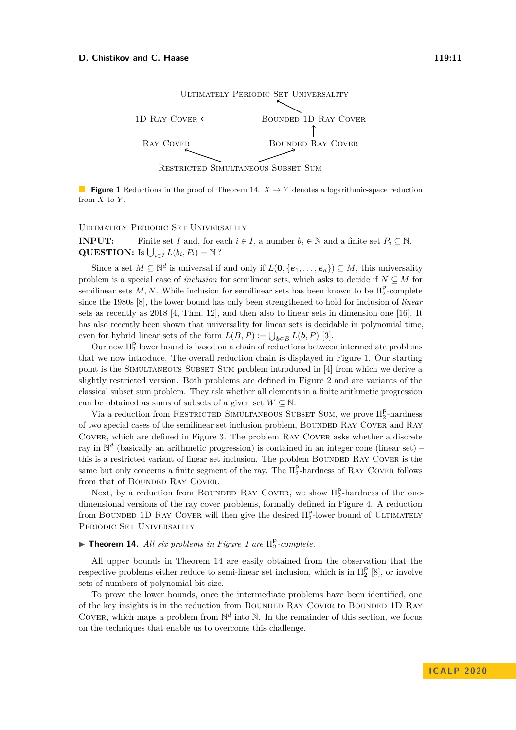#### **D. Chistikov and C. Haase 119:11** 2008 11:00 11:00 11:00 11:00 11:00 11:00 11:00 11:00 11:00 11:00 11:00 11:00 11:00 11:00 11:00 11:00 11:00 11:00 11:00 11:00 11:00 11:00 11:00 11:00 11:00 11:00 11:00 11:00 11:00 11:00 11

<span id="page-10-1"></span>

**Figure 1** Reductions in the proof of Theorem [14.](#page-10-0)  $X \to Y$  denotes a logarithmic-space reduction from *X* to *Y* .

#### Ultimately Periodic Set Universality

**INPUT:** Finite set *I* and, for each  $i \in I$ , a number  $b_i \in \mathbb{N}$  and a finite set  $P_i \subseteq \mathbb{N}$ . **QUESTION:** Is  $\bigcup_{i \in I} L(b_i, P_i) = \mathbb{N}$ ?

Since a set  $M \subseteq \mathbb{N}^d$  is universal if and only if  $L(\mathbf{0}, {\{e_1, \ldots, e_d\}}) \subseteq M$ , this universality problem is a special case of *inclusion* for semilinear sets, which asks to decide if  $N \subseteq M$  for semilinear sets  $M, N$ . While inclusion for semilinear sets has been known to be  $\prod_{2}^{P}$ -complete since the 1980s [\[8\]](#page-14-5), the lower bound has only been strengthened to hold for inclusion of *linear* sets as recently as 2018 [\[4,](#page-14-6) Thm. 12], and then also to linear sets in dimension one [\[16\]](#page-14-7). It has also recently been shown that universality for linear sets is decidable in polynomial time, even for hybrid linear sets of the form  $L(B, P) := \bigcup_{\boldsymbol{b} \in B} L(\boldsymbol{b}, P)$  [\[3\]](#page-14-12).

Our new  $\Pi_2^{\mathsf{P}}$  lower bound is based on a chain of reductions between intermediate problems that we now introduce. The overall reduction chain is displayed in Figure [1.](#page-10-1) Our starting point is the Simultaneous Subset Sum problem introduced in [\[4\]](#page-14-6) from which we derive a slightly restricted version. Both problems are defined in Figure [2](#page-11-0) and are variants of the classical subset sum problem. They ask whether all elements in a finite arithmetic progression can be obtained as sums of subsets of a given set  $W\subseteq\mathbb{N}.$ 

Via a reduction from RESTRICTED SIMULTANEOUS SUBSET SUM, we prove  $\Pi_2^{\mathsf{P}}$ -hardness of two special cases of the semilinear set inclusion problem, Bounded Ray Cover and Ray Cover, which are defined in Figure [3.](#page-11-1) The problem Ray Cover asks whether a discrete ray in  $\mathbb{N}^d$  (basically an arithmetic progression) is contained in an integer cone (linear set) – this is a restricted variant of linear set inclusion. The problem BOUNDED RAY COVER is the same but only concerns a finite segment of the ray. The  $\Pi_2^{\mathsf{P}}$ -hardness of RAY COVER follows from that of BOUNDED RAY COVER.

Next, by a reduction from BOUNDED RAY COVER, we show  $\Pi_2^{\mathsf{P}}$ -hardness of the onedimensional versions of the ray cover problems, formally defined in Figure [4.](#page-11-2) A reduction from BOUNDED 1D RAY COVER will then give the desired  $\Pi_2^{\mathsf{P}}$ -lower bound of ULTIMATELY PERIODIC SET UNIVERSALITY.

# <span id="page-10-0"></span> $\blacktriangleright$  **Theorem [1](#page-10-1)4.** All six problems in Figure 1 are  $\Pi_2^{\mathsf{P}}$ -complete.

All upper bounds in Theorem [14](#page-10-0) are easily obtained from the observation that the respective problems either reduce to semi-linear set inclusion, which is in  $\Pi_2^{\mathsf{P}}$  [\[8\]](#page-14-5), or involve sets of numbers of polynomial bit size.

To prove the lower bounds, once the intermediate problems have been identified, one of the key insights is in the reduction from Bounded Ray Cover to Bounded 1D Ray COVER, which maps a problem from  $\mathbb{N}^d$  into  $\mathbb{N}$ . In the remainder of this section, we focus on the techniques that enable us to overcome this challenge.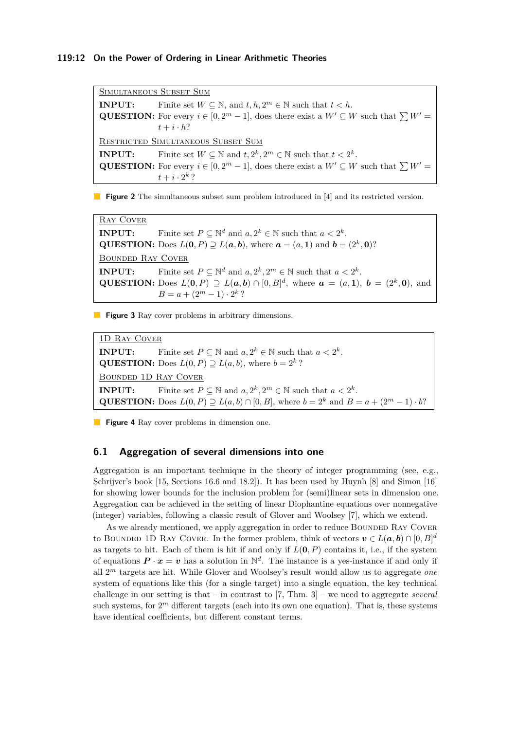#### **119:12 On the Power of Ordering in Linear Arithmetic Theories**

<span id="page-11-0"></span>Simultaneous Subset Sum **INPUT:** Finite set  $W \subseteq \mathbb{N}$ , and  $t, h, 2^m \in \mathbb{N}$  such that  $t < h$ . **QUESTION:** For every  $i \in [0, 2^m - 1]$ , does there exist a  $W' \subseteq W$  such that  $\sum W' =$  $t + i \cdot h?$ RESTRICTED SIMULTANEOUS SUBSET SUM **INPUT:** Finite set  $W \subseteq \mathbb{N}$  and  $t, 2^k, 2^m \in \mathbb{N}$  such that  $t < 2^k$ . **QUESTION:** For every  $i \in [0, 2^m - 1]$ , does there exist a  $W' \subseteq W$  such that  $\sum W' =$  $t + i \cdot 2^k$  ?

**Figure 2** The simultaneous subset sum problem introduced in [\[4\]](#page-14-6) and its restricted version.

<span id="page-11-1"></span>Ray Cover **INPUT:** Finite set  $P \subseteq \mathbb{N}^d$  and  $a, 2^k \in \mathbb{N}$  such that  $a < 2^k$ . **QUESTION:** Does  $L(\mathbf{0}, P) \supseteq L(\mathbf{a}, \mathbf{b})$ , where  $\mathbf{a} = (a, 1)$  and  $\mathbf{b} = (2^k, 0)$ ? Bounded Ray Cover **INPUT:** Finite set  $P \subseteq \mathbb{N}^d$  and  $a, 2^k, 2^m \in \mathbb{N}$  such that  $a < 2^k$ . **QUESTION:** Does  $L(0, P) \supseteq L(a, b) \cap [0, B]^d$ , where  $a = (a, 1), b = (2^k, 0)$ , and  $B = a + (2^m - 1) \cdot 2^k$ ?

**Figure 3** Ray cover problems in arbitrary dimensions.

<span id="page-11-2"></span>1D Ray Cover **INPUT:** Finite set  $P \subseteq \mathbb{N}$  and  $a, 2^k \in \mathbb{N}$  such that  $a < 2^k$ . **QUESTION:** Does  $L(0, P) \supseteq L(a, b)$ , where  $b = 2^k$ ? Bounded 1D Ray Cover **INPUT:** Finite set  $P \subseteq \mathbb{N}$  and  $a, 2^k, 2^m \in \mathbb{N}$  such that  $a < 2^k$ . **QUESTION:** Does  $L(0, P) \supseteq L(a, b) \cap [0, B]$ , where  $b = 2^k$  and  $B = a + (2^m - 1) \cdot b$ ?

**Figure 4** Ray cover problems in dimension one.

## **6.1 Aggregation of several dimensions into one**

Aggregation is an important technique in the theory of integer programming (see, e.g., Schrijver's book [\[15,](#page-14-8) Sections 16.6 and 18.2]). It has been used by Huynh [\[8\]](#page-14-5) and Simon [\[16\]](#page-14-7) for showing lower bounds for the inclusion problem for (semi)linear sets in dimension one. Aggregation can be achieved in the setting of linear Diophantine equations over nonnegative (integer) variables, following a classic result of Glover and Woolsey [\[7\]](#page-14-13), which we extend.

As we already mentioned, we apply aggregation in order to reduce BOUNDED RAY COVER to BOUNDED 1D RAY COVER. In the former problem, think of vectors  $v \in L(a, b) \cap [0, B]^d$ as targets to hit. Each of them is hit if and only if  $L(0, P)$  contains it, i.e., if the system of equations  $P \cdot x = v$  has a solution in  $\mathbb{N}^d$ . The instance is a yes-instance if and only if all 2 *<sup>m</sup>* targets are hit. While Glover and Woolsey's result would allow us to aggregate *one* system of equations like this (for a single target) into a single equation, the key technical challenge in our setting is that – in contrast to [\[7,](#page-14-13) Thm. 3] – we need to aggregate *several* such systems, for  $2<sup>m</sup>$  different targets (each into its own one equation). That is, these systems have identical coefficients, but different constant terms.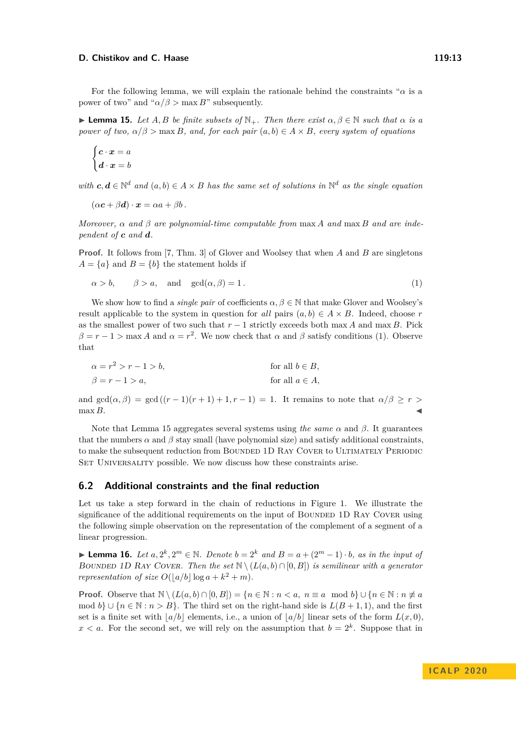#### **D. Chistikov and C. Haase 119:13** 119:13

<span id="page-12-1"></span>**I Lemma 15.** Let  $A, B$  be finite subsets of  $\mathbb{N}_+$ . Then there exist  $\alpha, \beta \in \mathbb{N}$  such that  $\alpha$  is a *power of two,*  $\alpha/\beta$  > max *B, and, for each pair*  $(a, b) \in A \times B$ *, every system of equations* 

$$
\begin{cases} \bm{c} \cdot \bm{x} = a \\ \bm{d} \cdot \bm{x} = b \end{cases}
$$

*with*  $c, d \in \mathbb{N}^d$  *and*  $(a, b) \in A \times B$  *has the same set of solutions in*  $\mathbb{N}^d$  *as the single equation* 

 $(\alpha c + \beta d) \cdot x = \alpha a + \beta b$ .

*Moreover,*  $\alpha$  *and*  $\beta$  *are polynomial-time computable from* max *A and* max *B and are independent of c and d.*

**Proof.** It follows from [\[7,](#page-14-13) Thm. 3] of Glover and Woolsey that when *A* and *B* are singletons  $A = \{a\}$  and  $B = \{b\}$  the statement holds if

<span id="page-12-0"></span>
$$
\alpha > b, \qquad \beta > a, \quad \text{and} \quad \gcd(\alpha, \beta) = 1. \tag{1}
$$

We show how to find a *single pair* of coefficients  $\alpha, \beta \in \mathbb{N}$  that make Glover and Woolsey's result applicable to the system in question for *all* pairs  $(a, b) \in A \times B$ . Indeed, choose *r* as the smallest power of two such that  $r - 1$  strictly exceeds both max *A* and max *B*. Pick  $\beta = r - 1$  *>* max *A* and  $\alpha = r^2$ . We now check that  $\alpha$  and  $\beta$  satisfy conditions [\(1\)](#page-12-0). Observe that

$$
\alpha = r^2 > r - 1 > b,
$$
 for all  $b \in B$ ,  

$$
\beta = r - 1 > a,
$$
 for all  $a \in A$ ,

and  $gcd(\alpha, \beta) = gcd((r-1)(r+1)+1, r-1) = 1$ . It remains to note that  $\alpha/\beta \geq r >$  $\max B$ .

Note that Lemma [15](#page-12-1) aggregates several systems using *the same*  $\alpha$  and  $\beta$ . It guarantees that the numbers  $\alpha$  and  $\beta$  stay small (have polynomial size) and satisfy additional constraints, to make the subsequent reduction from BOUNDED 1D RAY COVER to ULTIMATELY PERIODIC SET UNIVERSALITY possible. We now discuss how these constraints arise.

## **6.2 Additional constraints and the final reduction**

Let us take a step forward in the chain of reductions in Figure [1.](#page-10-1) We illustrate the significance of the additional requirements on the input of BOUNDED 1D RAY COVER using the following simple observation on the representation of the complement of a segment of a linear progression.

<span id="page-12-2"></span>► **Lemma 16.** Let  $a, 2^k, 2^m \in \mathbb{N}$ . Denote  $b = 2^k$  and  $B = a + (2^m - 1) \cdot b$ , as in the input of BOUNDED 1D RAY COVER. Then the set  $\mathbb{N} \setminus (L(a, b) \cap [0, B])$  is semilinear with a generator *representation of size*  $O(|a/b| \log a + k^2 + m)$ *.* 

**Proof.** Observe that  $\mathbb{N} \setminus (L(a, b) \cap [0, B]) = \{n \in \mathbb{N} : n < a, n \equiv a \mod b\} \cup \{n \in \mathbb{N} : n \neq a\}$ mod  $b$ } ∪ { $n \in \mathbb{N} : n > B$ }. The third set on the right-hand side is  $L(B + 1, 1)$ , and the first set is a finite set with  $|a/b|$  elements, i.e., a union of  $|a/b|$  linear sets of the form  $L(x, 0)$ ,  $x < a$ . For the second set, we will rely on the assumption that  $b = 2<sup>k</sup>$ . Suppose that in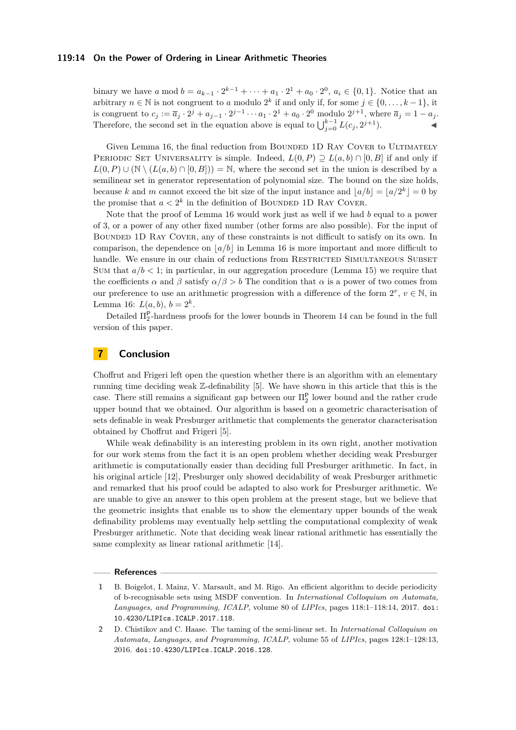#### **119:14 On the Power of Ordering in Linear Arithmetic Theories**

binary we have *a* mod  $b = a_{k-1} \cdot 2^{k-1} + \cdots + a_1 \cdot 2^1 + a_0 \cdot 2^0$ ,  $a_i \in \{0, 1\}$ . Notice that an arbitrary  $n \in \mathbb{N}$  is not congruent to *a* modulo  $2^k$  if and only if, for some  $j \in \{0, \ldots, k-1\}$ , it is congruent to  $c_j := \overline{a}_j \cdot 2^j + a_{j-1} \cdot 2^{j-1} \cdots a_1 \cdot 2^1 + a_0 \cdot 2^0$  modulo  $2^{j+1}$ , where  $\overline{a}_j = 1 - a_j$ . Therefore, the second set in the equation above is equal to  $\bigcup_{j=0}^{k-1} L(c_j, 2^{j+1})$ .

Given Lemma [16,](#page-12-2) the final reduction from BOUNDED 1D RAY COVER to ULTIMATELY PERIODIC SET UNIVERSALITY is simple. Indeed,  $L(0, P) \supset L(a, b) \cap [0, B]$  if and only if  $L(0, P) \cup (\mathbb{N} \setminus (L(a, b) \cap [0, B])) = \mathbb{N}$ , where the second set in the union is described by a semilinear set in generator representation of polynomial size. The bound on the size holds, because *k* and *m* cannot exceed the bit size of the input instance and  $\lfloor a/b \rfloor = \lfloor a/2^k \rfloor = 0$  by the promise that  $a < 2^k$  in the definition of BOUNDED 1D RAY COVER.

Note that the proof of Lemma [16](#page-12-2) would work just as well if we had *b* equal to a power of 3, or a power of any other fixed number (other forms are also possible). For the input of Bounded 1D Ray Cover, any of these constraints is not difficult to satisfy on its own. In comparison, the dependence on  $|a/b|$  in Lemma [16](#page-12-2) is more important and more difficult to handle. We ensure in our chain of reductions from RESTRICTED SIMULTANEOUS SUBSET Sum that  $a/b < 1$ ; in particular, in our aggregation procedure (Lemma [15\)](#page-12-1) we require that the coefficients  $\alpha$  and  $\beta$  satisfy  $\alpha/\beta > b$  The condition that  $\alpha$  is a power of two comes from our preference to use an arithmetic progression with a difference of the form  $2^v, v \in \mathbb{N}$ , in Lemma [16:](#page-12-2)  $L(a, b), b = 2^k$ .

Detailed  $\Pi_2^{\mathsf{P}}$ -hardness proofs for the lower bounds in Theorem [14](#page-10-0) can be found in the full version of this paper.

## **7 Conclusion**

Choffrut and Frigeri left open the question whether there is an algorithm with an elementary running time deciding weak Z-definability [\[5\]](#page-14-4). We have shown in this article that this is the case. There still remains a significant gap between our  $\Pi_2^{\mathsf{P}}$  lower bound and the rather crude upper bound that we obtained. Our algorithm is based on a geometric characterisation of sets definable in weak Presburger arithmetic that complements the generator characterisation obtained by Choffrut and Frigeri [\[5\]](#page-14-4).

While weak definability is an interesting problem in its own right, another motivation for our work stems from the fact it is an open problem whether deciding weak Presburger arithmetic is computationally easier than deciding full Presburger arithmetic. In fact, in his original article [\[12\]](#page-14-14), Presburger only showed decidability of weak Presburger arithmetic and remarked that his proof could be adapted to also work for Presburger arithmetic. We are unable to give an answer to this open problem at the present stage, but we believe that the geometric insights that enable us to show the elementary upper bounds of the weak definability problems may eventually help settling the computational complexity of weak Presburger arithmetic. Note that deciding weak linear rational arithmetic has essentially the same complexity as linear rational arithmetic [\[14\]](#page-14-15).

#### **References**

<span id="page-13-0"></span>**<sup>1</sup>** B. Boigelot, I. Mainz, V. Marsault, and M. Rigo. An efficient algorithm to decide periodicity of b-recognisable sets using MSDF convention. In *International Colloquium on Automata, Languages, and Programming, ICALP*, volume 80 of *LIPIcs*, pages 118:1–118:14, 2017. [doi:](http://dx.doi.org/10.4230/LIPIcs.ICALP.2017.118) [10.4230/LIPIcs.ICALP.2017.118](http://dx.doi.org/10.4230/LIPIcs.ICALP.2017.118).

<span id="page-13-1"></span>**<sup>2</sup>** D. Chistikov and C. Haase. The taming of the semi-linear set. In *International Colloquium on Automata, Languages, and Programming, ICALP*, volume 55 of *LIPIcs*, pages 128:1–128:13, 2016. [doi:10.4230/LIPIcs.ICALP.2016.128](http://dx.doi.org/10.4230/LIPIcs.ICALP.2016.128).